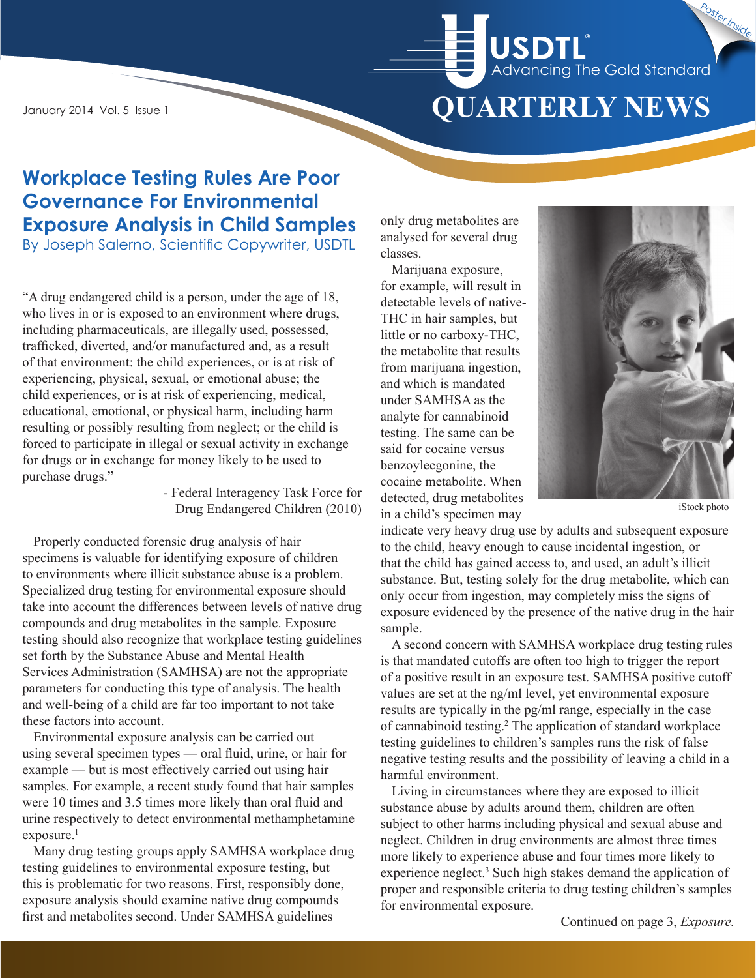# **QUARTERLY NEWS** Advancing The Gold Standard **®** Poster Inside

January 2014 Vol. 5 Issue 1

# **Workplace Testing Rules Are Poor Governance For Environmental Exposure Analysis in Child Samples**

By Joseph Salerno, Scientific Copywriter, USDTL

"A drug endangered child is a person, under the age of 18, who lives in or is exposed to an environment where drugs, including pharmaceuticals, are illegally used, possessed, trafficked, diverted, and/or manufactured and, as a result of that environment: the child experiences, or is at risk of experiencing, physical, sexual, or emotional abuse; the child experiences, or is at risk of experiencing, medical, educational, emotional, or physical harm, including harm resulting or possibly resulting from neglect; or the child is forced to participate in illegal or sexual activity in exchange for drugs or in exchange for money likely to be used to purchase drugs."

- Federal Interagency Task Force for Drug Endangered Children (2010)

Properly conducted forensic drug analysis of hair specimens is valuable for identifying exposure of children to environments where illicit substance abuse is a problem. Specialized drug testing for environmental exposure should take into account the differences between levels of native drug compounds and drug metabolites in the sample. Exposure testing should also recognize that workplace testing guidelines set forth by the Substance Abuse and Mental Health Services Administration (SAMHSA) are not the appropriate parameters for conducting this type of analysis. The health and well-being of a child are far too important to not take these factors into account.

Environmental exposure analysis can be carried out using several specimen types — oral fluid, urine, or hair for example — but is most effectively carried out using hair samples. For example, a recent study found that hair samples were 10 times and 3.5 times more likely than oral fluid and urine respectively to detect environmental methamphetamine exposure.<sup>1</sup>

Many drug testing groups apply SAMHSA workplace drug testing guidelines to environmental exposure testing, but this is problematic for two reasons. First, responsibly done, exposure analysis should examine native drug compounds first and metabolites second. Under SAMHSA guidelines

only drug metabolites are analysed for several drug classes.

Marijuana exposure, for example, will result in detectable levels of native-THC in hair samples, but little or no carboxy-THC, the metabolite that results from marijuana ingestion, and which is mandated under SAMHSA as the analyte for cannabinoid testing. The same can be said for cocaine versus benzoylecgonine, the cocaine metabolite. When detected, drug metabolites in a child's specimen may



iStock photo

indicate very heavy drug use by adults and subsequent exposure to the child, heavy enough to cause incidental ingestion, or that the child has gained access to, and used, an adult's illicit substance. But, testing solely for the drug metabolite, which can only occur from ingestion, may completely miss the signs of exposure evidenced by the presence of the native drug in the hair sample.

A second concern with SAMHSA workplace drug testing rules is that mandated cutoffs are often too high to trigger the report of a positive result in an exposure test. SAMHSA positive cutoff values are set at the ng/ml level, yet environmental exposure results are typically in the pg/ml range, especially in the case of cannabinoid testing.2 The application of standard workplace testing guidelines to children's samples runs the risk of false negative testing results and the possibility of leaving a child in a harmful environment.

Living in circumstances where they are exposed to illicit substance abuse by adults around them, children are often subject to other harms including physical and sexual abuse and neglect. Children in drug environments are almost three times more likely to experience abuse and four times more likely to experience neglect.<sup>3</sup> Such high stakes demand the application of proper and responsible criteria to drug testing children's samples for environmental exposure.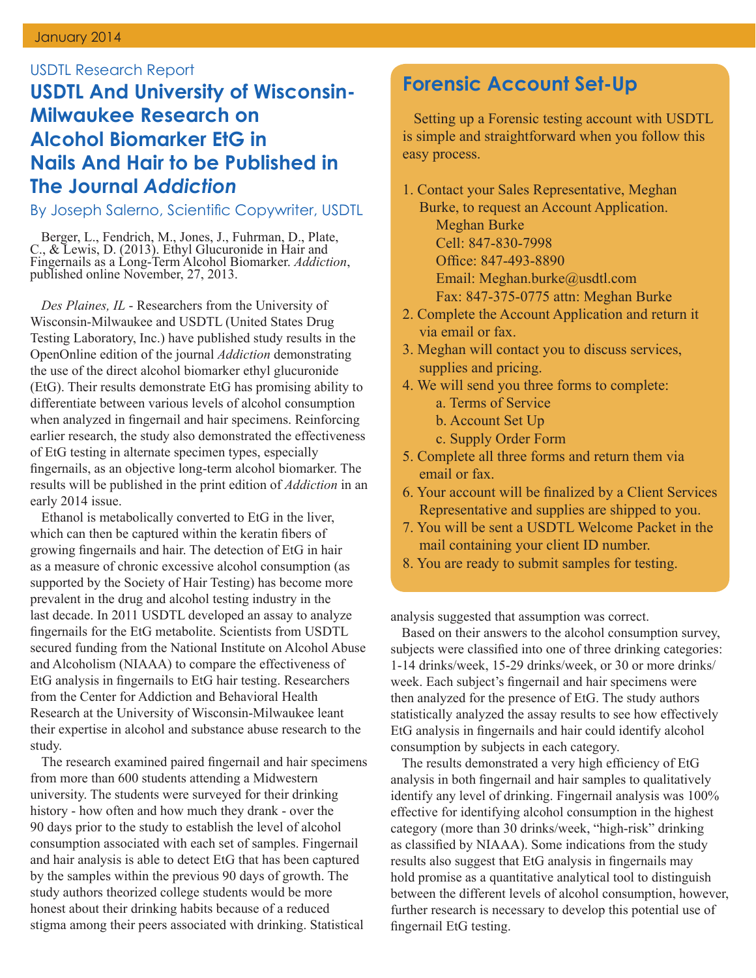#### USDTL Research Report

### **USDTL And University of Wisconsin-Milwaukee Research on Alcohol Biomarker EtG in Nails And Hair to be Published in The Journal** *Addiction*

By Joseph Salerno, Scientific Copywriter, USDTL

Berger, L., Fendrich, M., Jones, J., Fuhrman, D., Plate, C., & Lewis, D. (2013). Ethyl Glucuronide in Hair and Fingernails as a Long-Term Alcohol Biomarker. *Addiction*, published online November, 27, 2013.

*Des Plaines, IL* - Researchers from the University of Wisconsin-Milwaukee and USDTL (United States Drug Testing Laboratory, Inc.) have published study results in the OpenOnline edition of the journal *Addiction* demonstrating the use of the direct alcohol biomarker ethyl glucuronide (EtG). Their results demonstrate EtG has promising ability to differentiate between various levels of alcohol consumption when analyzed in fingernail and hair specimens. Reinforcing earlier research, the study also demonstrated the effectiveness of EtG testing in alternate specimen types, especially fingernails, as an objective long-term alcohol biomarker. The results will be published in the print edition of *Addiction* in an early 2014 issue.

Ethanol is metabolically converted to EtG in the liver, which can then be captured within the keratin fibers of growing fingernails and hair. The detection of EtG in hair as a measure of chronic excessive alcohol consumption (as supported by the Society of Hair Testing) has become more prevalent in the drug and alcohol testing industry in the last decade. In 2011 USDTL developed an assay to analyze fingernails for the EtG metabolite. Scientists from USDTL secured funding from the National Institute on Alcohol Abuse and Alcoholism (NIAAA) to compare the effectiveness of EtG analysis in fingernails to EtG hair testing. Researchers from the Center for Addiction and Behavioral Health Research at the University of Wisconsin-Milwaukee leant their expertise in alcohol and substance abuse research to the study.

The research examined paired fingernail and hair specimens from more than 600 students attending a Midwestern university. The students were surveyed for their drinking history - how often and how much they drank - over the 90 days prior to the study to establish the level of alcohol consumption associated with each set of samples. Fingernail and hair analysis is able to detect EtG that has been captured by the samples within the previous 90 days of growth. The study authors theorized college students would be more honest about their drinking habits because of a reduced stigma among their peers associated with drinking. Statistical

### **Forensic Account Set-Up**

Setting up a Forensic testing account with USDTL is simple and straightforward when you follow this easy process.

- 1. Contact your Sales Representative, Meghan Burke, to request an Account Application. Meghan Burke Cell: 847-830-7998 Office: 847-493-8890 Email: Meghan.burke@usdtl.com Fax: 847-375-0775 attn: Meghan Burke
- 2. Complete the Account Application and return it via email or fax.
- 3. Meghan will contact you to discuss services, supplies and pricing.
- 4. We will send you three forms to complete: a. Terms of Service
	- b. Account Set Up
	- c. Supply Order Form
- 5. Complete all three forms and return them via email or fax.
- 6. Your account will be finalized by a Client Services Representative and supplies are shipped to you.
- 7. You will be sent a USDTL Welcome Packet in the mail containing your client ID number.
- 8. You are ready to submit samples for testing.

analysis suggested that assumption was correct.

Based on their answers to the alcohol consumption survey, subjects were classified into one of three drinking categories: 1-14 drinks/week, 15-29 drinks/week, or 30 or more drinks/ week. Each subject's fingernail and hair specimens were then analyzed for the presence of EtG. The study authors statistically analyzed the assay results to see how effectively EtG analysis in fingernails and hair could identify alcohol consumption by subjects in each category.

The results demonstrated a very high efficiency of EtG analysis in both fingernail and hair samples to qualitatively identify any level of drinking. Fingernail analysis was 100% effective for identifying alcohol consumption in the highest category (more than 30 drinks/week, "high-risk" drinking as classified by NIAAA). Some indications from the study results also suggest that EtG analysis in fingernails may hold promise as a quantitative analytical tool to distinguish between the different levels of alcohol consumption, however, further research is necessary to develop this potential use of fingernail EtG testing.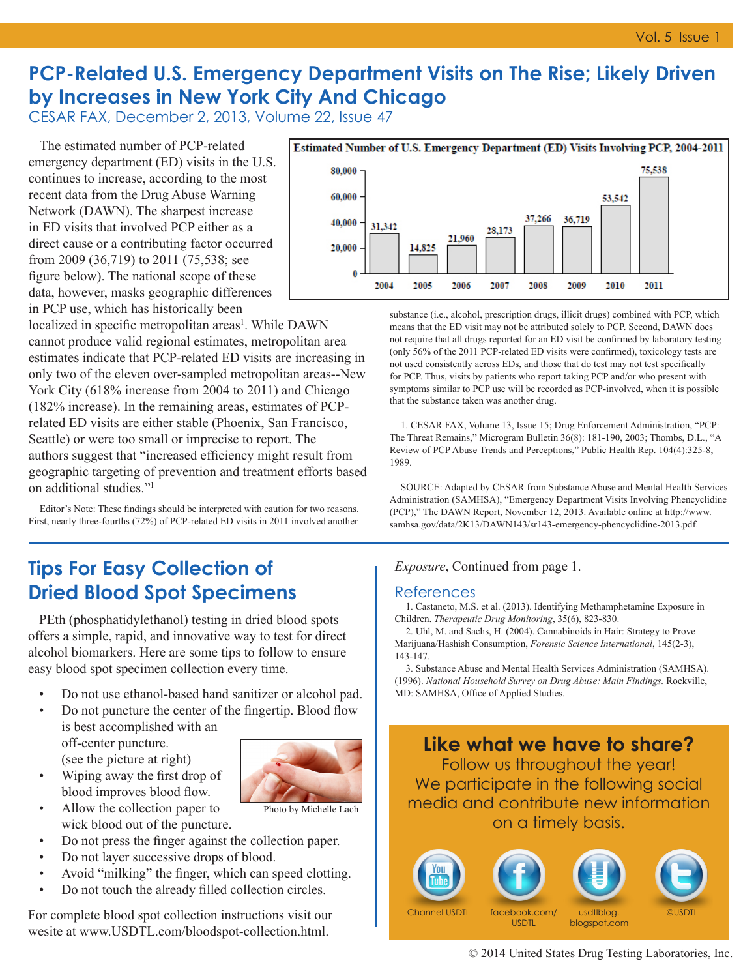# **PCP-Related U.S. Emergency Department Visits on The Rise; Likely Driven by Increases in New York City And Chicago**

CESAR FAX, December 2, 2013, Volume 22, Issue 47

The estimated number of PCP-related emergency department (ED) visits in the U.S. continues to increase, according to the most recent data from the Drug Abuse Warning Network (DAWN). The sharpest increase in ED visits that involved PCP either as a direct cause or a contributing factor occurred from 2009 (36,719) to 2011 (75,538; see figure below). The national scope of these data, however, masks geographic differences in PCP use, which has historically been

localized in specific metropolitan areas<sup>1</sup>. While DAWN cannot produce valid regional estimates, metropolitan area estimates indicate that PCP-related ED visits are increasing in only two of the eleven over-sampled metropolitan areas--New York City (618% increase from 2004 to 2011) and Chicago (182% increase). In the remaining areas, estimates of PCPrelated ED visits are either stable (Phoenix, San Francisco, Seattle) or were too small or imprecise to report. The authors suggest that "increased efficiency might result from geographic targeting of prevention and treatment efforts based on additional studies."1

Editor's Note: These findings should be interpreted with caution for two reasons. First, nearly three-fourths (72%) of PCP-related ED visits in 2011 involved another

## **Tips For Easy Collection of Dried Blood Spot Specimens**

PEth (phosphatidylethanol) testing in dried blood spots offers a simple, rapid, and innovative way to test for direct alcohol biomarkers. Here are some tips to follow to ensure easy blood spot specimen collection every time.

- Do not use ethanol-based hand sanitizer or alcohol pad.
- Do not puncture the center of the fingertip. Blood flow is best accomplished with an

off-center puncture. (see the picture at right) • Wiping away the first drop of



Photo by Michelle Lach

- blood improves blood flow. • Allow the collection paper to
- wick blood out of the puncture.
- Do not press the finger against the collection paper.
- Do not layer successive drops of blood.
- Avoid "milking" the finger, which can speed clotting.
- Do not touch the already filled collection circles.

For complete blood spot collection instructions visit our wesite at www.USDTL.com/bloodspot-collection.html.



substance (i.e., alcohol, prescription drugs, illicit drugs) combined with PCP, which means that the ED visit may not be attributed solely to PCP. Second, DAWN does not require that all drugs reported for an ED visit be confirmed by laboratory testing (only 56% of the 2011 PCP-related ED visits were confirmed), toxicology tests are not used consistently across EDs, and those that do test may not test specifically for PCP. Thus, visits by patients who report taking PCP and/or who present with symptoms similar to PCP use will be recorded as PCP-involved, when it is possible that the substance taken was another drug.

1. CESAR FAX, Volume 13, Issue 15; Drug Enforcement Administration, "PCP: The Threat Remains," Microgram Bulletin 36(8): 181-190, 2003; Thombs, D.L., "A Review of PCP Abuse Trends and Perceptions," Public Health Rep. 104(4):325-8, 1989.

SOURCE: Adapted by CESAR from Substance Abuse and Mental Health Services Administration (SAMHSA), "Emergency Department Visits Involving Phencyclidine (PCP)," The DAWN Report, November 12, 2013. Available online at http://www. samhsa.gov/data/2K13/DAWN143/sr143-emergency-phencyclidine-2013.pdf.

#### *Exposure*, Continued from page 1.

#### References

1. Castaneto, M.S. et al. (2013). Identifying Methamphetamine Exposure in Children. *Therapeutic Drug Monitoring*, 35(6), 823-830.

2. Uhl, M. and Sachs, H. (2004). Cannabinoids in Hair: Strategy to Prove Marijuana/Hashish Consumption, *Forensic Science International*, 145(2-3), 143-147.

3. Substance Abuse and Mental Health Services Administration (SAMHSA). (1996). *National Household Survey on Drug Abuse: Main Findings.* Rockville, MD: SAMHSA, Office of Applied Studies.



Channel USDTL facebook.com/

**USDTL**